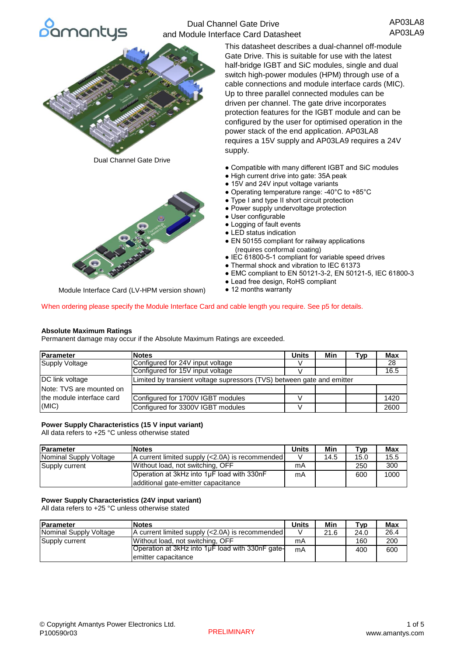

# Dual Channel Gate Drive and Module Interface Card Datasheet

AP03LA8 AP03LA9



Dual Channel Gate Drive



Module Interface Card (LV-HPM version shown)

This datasheet describes a dual-channel off-module Gate Drive. This is suitable for use with the latest half-bridge IGBT and SiC modules, single and dual switch high-power modules (HPM) through use of a cable connections and module interface cards (MIC). Up to three parallel connected modules can be driven per channel. The gate drive incorporates protection features for the IGBT module and can be configured by the user for optimised operation in the power stack of the end application. AP03LA8 requires a 15V supply and AP03LA9 requires a 24V supply.

- Compatible with many different IGBT and SiC modules
- High current drive into gate: 35A peak
- 15V and 24V input voltage variants
- Operating temperature range: -40°C to +85°C
- Type I and type II short circuit protection
- Power supply undervoltage protection
- User configurable
- Logging of fault events
- LED status indication
- EN 50155 compliant for railway applications (requires conformal coating)
- IEC 61800-5-1 compliant for variable speed drives
- Thermal shock and vibration to IEC 61373
- EMC compliant to EN 50121-3-2, EN 50121-5, IEC 61800-3
- Lead free design, RoHS compliant
- 12 months warranty

When ordering please specify the Module Interface Card and cable length you require. See p5 for details.

### **Absolute Maximum Ratings**

Permanent damage may occur if the Absolute Maximum Ratings are exceeded.

| Parameter                 | <b>Notes</b>                                                           | <b>Units</b> | Min | Tvp | <b>Max</b> |
|---------------------------|------------------------------------------------------------------------|--------------|-----|-----|------------|
| <b>Supply Voltage</b>     | Configured for 24V input voltage                                       |              |     |     | 28         |
|                           | Configured for 15V input voltage                                       |              |     |     | 16.5       |
| DC link voltage           | Limited by transient voltage supressors (TVS) between gate and emitter |              |     |     |            |
| Note: TVS are mounted on  |                                                                        |              |     |     |            |
| the module interface card | Configured for 1700V IGBT modules                                      |              |     |     | 1420       |
| (MIC)                     | Configured for 3300V IGBT modules                                      |              |     |     | 2600       |

## **Power Supply Characteristics (15 V input variant)**

All data refers to +25 °C unless otherwise stated

| <b>Parameter</b>       | <b>Notes</b>                                    |  | Min  | ™vp  | <b>Max</b> |
|------------------------|-------------------------------------------------|--|------|------|------------|
| Nominal Supply Voltage | A current limited supply (<2.0A) is recommended |  | 14.5 | 15.0 | 15.5       |
| Supply current         | Without load, not switching, OFF                |  |      | 250  | 300        |
|                        | Operation at 3kHz into 1µF load with 330nF      |  |      | 600  | 1000       |
|                        | additional gate-emitter capacitance             |  |      |      |            |

### **Power Supply Characteristics (24V input variant)**

All data refers to +25 °C unless otherwise stated

| <b>Parameter</b>       | <b>Notes</b>                                     |    | Min  | ⊤γр  | <b>Max</b> |
|------------------------|--------------------------------------------------|----|------|------|------------|
| Nominal Supply Voltage | A current limited supply (<2.0A) is recommended  |    | 21.6 | 24.0 | 26.4       |
| Supply current         | Without load, not switching, OFF                 | mA |      | 160  | 200        |
|                        | Operation at 3kHz into 1uF load with 330nF gate- | mA |      | 400  | 600        |
|                        | lemitter capacitance                             |    |      |      |            |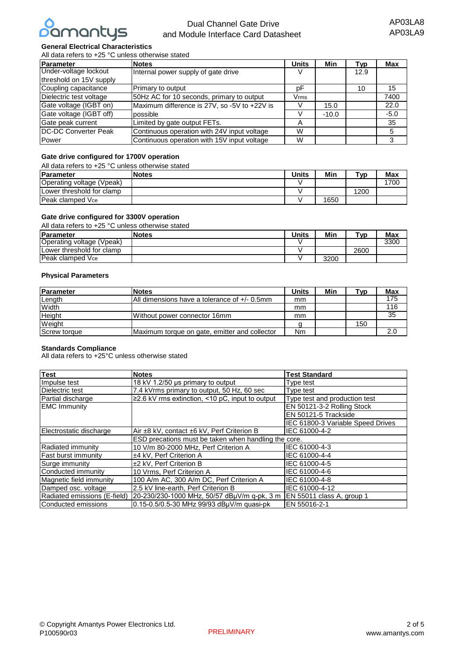

# Dual Channel Gate Drive and Module Interface Card Datasheet

## **General Electrical Characteristics**

All data refers to +25 °C unless otherwise stated

| Parameter                                         | <b>Notes</b>                                 | <b>Units</b> | Min     | Tvp  | <b>Max</b> |
|---------------------------------------------------|----------------------------------------------|--------------|---------|------|------------|
| Under-voltage lockout                             | Internal power supply of gate drive          |              |         | 12.9 |            |
| threshold on 15V supply                           |                                              |              |         |      |            |
| Coupling capacitance                              | Primary to output<br>рF                      |              |         | 10   | 15         |
| Dielectric test voltage                           | 50Hz AC for 10 seconds, primary to output    |              |         |      | 7400       |
| Gate voltage (IGBT on)                            | Maximum difference is 27V, so -5V to +22V is |              | 15.0    |      | 22.0       |
| Gate voltage (IGBT off)                           | possible                                     |              | $-10.0$ |      | $-5.0$     |
| Gate peak current<br>Limited by gate output FETs. |                                              | Α            |         |      | 35         |
| <b>IDC-DC Converter Peak</b>                      | Continuous operation with 24V input voltage  | W            |         |      | 5          |
| <b>Power</b>                                      | Continuous operation with 15V input voltage  | W            |         |      |            |

## **Gate drive configured for 1700V operation**

All data refers to +25 °C unless otherwise stated

| Parameter                 | <b>Notes</b> | Units | Min  | ⊤ур  | Max |
|---------------------------|--------------|-------|------|------|-----|
| Operating voltage (Vpeak) |              |       |      |      | 700 |
| Lower threshold for clamp |              |       |      | 1200 |     |
| Peak clamped Vce          |              |       | 1650 |      |     |

## **Gate drive configured for 3300V operation**

All data refers to +25 °C unless otherwise stated

| <b>IParameter</b>         | <b>Notes</b> | <b>Units</b> | Min  | $^{\mathsf{ryp}}$ | <b>Max</b> |
|---------------------------|--------------|--------------|------|-------------------|------------|
| Operating voltage (Vpeak) |              |              |      |                   | 3300       |
| Lower threshold for clamp |              |              |      | 2600              |            |
| <b>Peak clamped Vce</b>   |              |              | 3200 |                   |            |

#### **Physical Parameters**

| Parameter           | <b>Notes</b>                                    | Units | Min | $\mathsf{v}_{\mathsf{V}}$ | Max |
|---------------------|-------------------------------------------------|-------|-----|---------------------------|-----|
| Length              | All dimensions have a tolerance of $+/- 0.5$ mm | mm    |     |                           | 175 |
| Width               |                                                 | mm    |     |                           | 116 |
| Height              | Without power connector 16mm                    | mm    |     |                           | 35  |
| Weight              |                                                 |       |     | 150                       |     |
| <b>Screw torque</b> | Maximum torque on gate, emitter and collector   | Nm    |     |                           | 2.0 |

#### **Standards Compliance**

All data refers to +25°C unless otherwise stated

| <b>Test</b>                  | <b>Notes</b>                                          | <b>Test Standard</b>              |
|------------------------------|-------------------------------------------------------|-----------------------------------|
| Impulse test                 | 18 kV 1.2/50 µs primary to output                     | Type test                         |
| Dielectric test              | 7.4 kVrms primary to output, 50 Hz, 60 sec            | Type test                         |
| Partial discharge            | $\geq$ 2.6 kV rms extinction, <10 pC, input to output | Type test and production test     |
| <b>EMC Immunity</b>          |                                                       | EN 50121-3-2 Rolling Stock        |
|                              |                                                       | EN 50121-5 Trackside              |
|                              |                                                       | IEC 61800-3 Variable Speed Drives |
| Electrostatic discharge      | Air ±8 kV, contact ±6 kV, Perf Criterion B            | IEC 61000-4-2                     |
|                              | ESD precations must be taken when handling the core.  |                                   |
| Radiated immunity            | 10 V/m 80-2000 MHz, Perf Criterion A                  | IEC 61000-4-3                     |
| <b>Fast burst immunity</b>   | ±4 kV, Perf Criterion A                               | IEC 61000-4-4                     |
| Surge immunity               | ±2 kV, Perf Criterion B                               | IEC 61000-4-5                     |
| Conducted immunity           | 10 Vrms, Perf Criterion A                             | IEC 61000-4-6                     |
| Magnetic field immunity      | 100 A/m AC, 300 A/m DC, Perf Criterion A              | IEC 61000-4-8                     |
| Damped osc. voltage          | 2.5 kV line-earth, Perf Criterion B                   | IEC 61000-4-12                    |
| Radiated emissions (E-field) | 20-230/230-1000 MHz, 50/57 dBuV/m g-pk, 3 m           | EN 55011 class A, group 1         |
| Conducted emissions          | 0.15-0.5/0.5-30 MHz 99/93 dBµV/m quasi-pk             | EN 55016-2-1                      |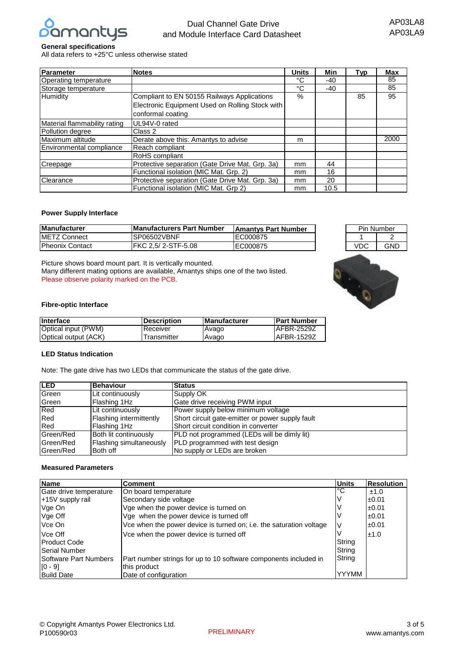

## **General specifications**

All data refers to +25°C unless otherwise stated

| Parameter                    | <b>Notes</b>                                                                                                        | <b>Units</b>  | Min   | Typ | Max  |
|------------------------------|---------------------------------------------------------------------------------------------------------------------|---------------|-------|-----|------|
| Operating temperature        |                                                                                                                     | °C            | $-40$ |     | 85   |
| Storage temperature          |                                                                                                                     | °C            | $-40$ |     | 85   |
| Humidity                     | Compliant to EN 50155 Railways Applications<br>Electronic Equipment Used on Rolling Stock with<br>conformal coating |               |       | 85  | 95   |
| Material flammability rating | UL94V-0 rated                                                                                                       |               |       |     |      |
| Pollution degree             | Class 2                                                                                                             |               |       |     |      |
| Maximum altitude             | Derate above this: Amantys to advise                                                                                | m             |       |     | 2000 |
| Environmental compliance     | Reach compliant                                                                                                     |               |       |     |      |
|                              | RoHS compliant                                                                                                      |               |       |     |      |
| Creepage                     | Protective separation (Gate Drive Mat. Grp. 3a)                                                                     | mm.           | 44    |     |      |
|                              | Functional isolation (MIC Mat. Grp. 2)                                                                              | 16<br>mm      |       |     |      |
| Clearance                    | Protective separation (Gate Drive Mat. Grp. 3a)                                                                     | <sub>mm</sub> | 20    |     |      |
|                              | Functional isolation (MIC Mat. Grp 2)                                                                               | mm            | 10.5  |     |      |

## **Power Supply Interface**

| <b>Manufacturer</b>     | <b>Manufacturers Part Number</b> | <b>Amantys Part Number</b> |
|-------------------------|----------------------------------|----------------------------|
| <b>IMETZ Connect</b>    | ISP06502VBNF                     | EC000875                   |
| <b>IPheonix Contact</b> | FKC 2.5/ 2-STF-5.08              | <b>IEC000875</b>           |

Picture shows board mount part. It is vertically mounted. Many different mating options are available, Amantys ships one of the two listed. Please observe polarity marked on the PCB.



Pin Number

### **Fibre-optic Interface**

| <b>Interface</b>     | <b>IDescription</b> | <b>IManufacturer</b> | <b>Part Number</b> |
|----------------------|---------------------|----------------------|--------------------|
| Optical input (PWM)  | Receiver            | Avago                | <b>AFBR-2529Z</b>  |
| Optical output (ACK) | Transmitter         | Avago                | <b>AFBR-1529Z</b>  |

### **LED Status Indication**

Note: The gate drive has two LEDs that communicate the status of the gate drive.

| <b>ILED</b>  | <b>Behaviour</b>        | <b>Status</b>                                    |
|--------------|-------------------------|--------------------------------------------------|
| Green        | Lit continuously        | Supply OK                                        |
| <b>Green</b> | Flashing 1Hz            | Gate drive receiving PWM input                   |
| Red          | Lit continuously        | Power supply below minimum voltage               |
| <b>IRed</b>  | Flashing intermittently | Short circuit gate-emitter or power supply fault |
| Red          | Flashing 1Hz            | Short circuit condition in converter             |
| Green/Red    | Both lit continuously   | PLD not programmed (LEDs will be dimly lit)      |
| Green/Red    | Flashing simultaneously | PLD programmed with test design                  |
| Green/Red    | Both off                | No supply or LEDs are broken                     |

## **Measured Parameters**

| Name                         | Comment                                                             | <b>Units</b> | <b>Resolution</b> |
|------------------------------|---------------------------------------------------------------------|--------------|-------------------|
| Gate drive temperature       | On board temperature                                                | l°С          | ±1.0              |
| +15V supply rail             | Secondary side voltage                                              |              | ±0.01             |
| Vge On                       | Vge when the power device is turned on                              |              | ±0.01             |
| Vge Off                      | Vge when the power device is turned off                             |              | ±0.01             |
| Vce On                       | Vce when the power device is turned on; i.e. the saturation voltage |              | ±0.01             |
| Vce Off                      | Vce when the power device is turned off                             |              | ±1.0              |
| <b>IProduct Code</b>         |                                                                     | String       |                   |
| <b>Serial Number</b>         |                                                                     | String       |                   |
| <b>Software Part Numbers</b> | Part number strings for up to 10 software components included in    | String       |                   |
| $[0 - 9]$                    | this product                                                        |              |                   |
| <b>Build Date</b>            | Date of configuration                                               | <b>YYYMM</b> |                   |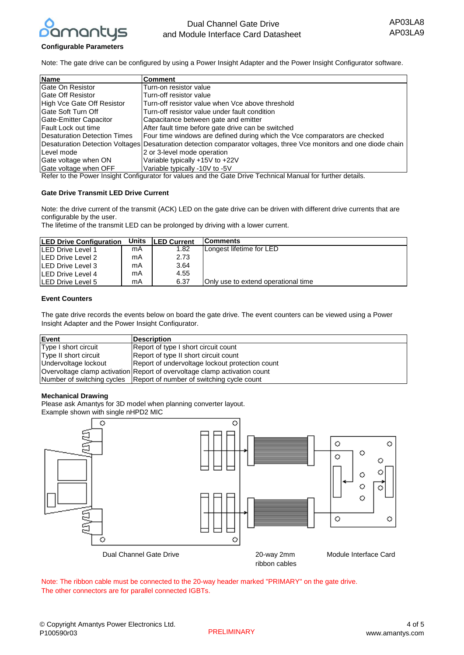

## **Configurable Parameters**

Note: The gate drive can be configured by using a Power Insight Adapter and the Power Insight Configurator software.

| <b>Name</b>                          | <b>Comment</b>                                                                                                     |
|--------------------------------------|--------------------------------------------------------------------------------------------------------------------|
| <b>Gate On Resistor</b>              | Turn-on resistor value                                                                                             |
| <b>Gate Off Resistor</b>             | Turn-off resistor value                                                                                            |
| High Vce Gate Off Resistor           | Turn-off resistor value when Vce above threshold                                                                   |
| Gate Soft Turn Off                   | Turn-off resistor value under fault condition                                                                      |
| Gate-Emitter Capacitor               | Capacitance between gate and emitter                                                                               |
| Fault Lock out time                  | After fault time before gate drive can be switched                                                                 |
| <b>IDesaturation Detection Times</b> | Four time windows are defined during which the Vce comparators are checked                                         |
|                                      | Desaturation Detection Voltages Desaturation detection comparator voltages, three Vce monitors and one diode chain |
| Level mode                           | 2 or 3-level mode operation                                                                                        |
| Gate voltage when ON                 | Variable typically +15V to +22V                                                                                    |
| Gate voltage when OFF                | Variable typically -10V to -5V                                                                                     |

Refer to the Power Insight Configurator for values and the Gate Drive Technical Manual for further details.

### **Gate Drive Transmit LED Drive Current**

Note: the drive current of the transmit (ACK) LED on the gate drive can be driven with different drive currents that are configurable by the user.

The lifetime of the transmit LED can be prolonged by driving with a lower current.

| <b>ILED Drive Configuration</b> | Units | <b>ILED Current</b> | <b>IComments</b>                            |
|---------------------------------|-------|---------------------|---------------------------------------------|
| <b>ILED Drive Level 1</b>       | mA    | 1.82                | Longest lifetime for LED                    |
| <b>ILED Drive Level 2</b>       | mA    | 2.73                |                                             |
| <b>ILED Drive Level 3</b>       | mA    | 3.64                |                                             |
| <b>ILED Drive Level 4</b>       | mA    | 4.55                |                                             |
| <b>ILED Drive Level 5</b>       | mA    | 6.37                | <b>IOnly use to extend operational time</b> |

## **Event Counters**

The gate drive records the events below on board the gate drive. The event counters can be viewed using a Power Insight Adapter and the Power Insight Configurator.

| Event                 | <b>Description</b>                                                        |
|-----------------------|---------------------------------------------------------------------------|
| Type I short circuit  | Report of type I short circuit count                                      |
| Type II short circuit | Report of type II short circuit count                                     |
| Undervoltage lockout  | Report of undervoltage lockout protection count                           |
|                       | Overvoltage clamp activation Report of overvoltage clamp activation count |
|                       | Number of switching cycles   Report of number of switching cycle count    |

### **Mechanical Drawing**

Please ask Amantys for 3D model when planning converter layout. Example shown with single nHPD2 MIC



Note: The ribbon cable must be connected to the 20-way header marked "PRIMARY" on the gate drive. The other connectors are for parallel connected IGBTs.